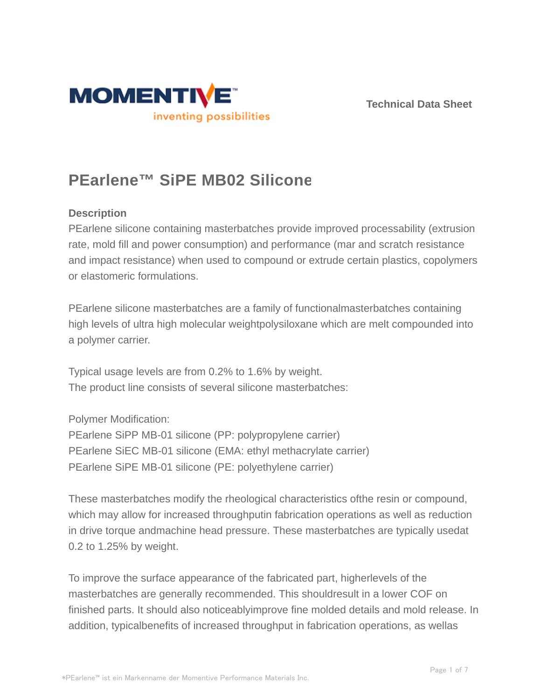



# **PEarlene™ SiPE MB02 Silicone**

## **Description**

PEarlene silicone containing masterbatches provide improved processability (extrusion rate, mold fill and power consumption) and performance (mar and scratch resistance and impact resistance) when used to compound or extrude certain plastics, copolymers or elastomeric formulations.

PEarlene silicone masterbatches are a family of functionalmasterbatches containing high levels of ultra high molecular weightpolysiloxane which are melt compounded into a polymer carrier.

Typical usage levels are from 0.2% to 1.6% by weight. The product line consists of several silicone masterbatches:

Polymer Modification:

PEarlene SiPP MB-01 silicone (PP: polypropylene carrier) PEarlene SiEC MB-01 silicone (EMA: ethyl methacrylate carrier) PEarlene SiPE MB-01 silicone (PE: polyethylene carrier)

These masterbatches modify the rheological characteristics ofthe resin or compound, which may allow for increased throughputin fabrication operations as well as reduction in drive torque andmachine head pressure. These masterbatches are typically usedat 0.2 to 1.25% by weight.

To improve the surface appearance of the fabricated part, higherlevels of the masterbatches are generally recommended. This shouldresult in a lower COF on finished parts. It should also noticeablyimprove fine molded details and mold release. In addition, typicalbenefits of increased throughput in fabrication operations, as wellas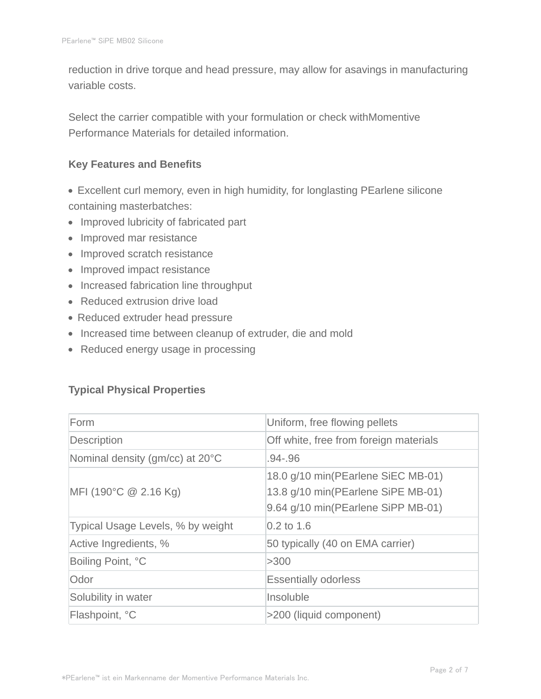reduction in drive torque and head pressure, may allow for asavings in manufacturing variable costs.

Select the carrier compatible with your formulation or check withMomentive Performance Materials for detailed information.

#### **Key Features and Benefits**

- Excellent curl memory, even in high humidity, for longlasting PEarlene silicone containing masterbatches:
- Improved lubricity of fabricated part
- Improved mar resistance
- Improved scratch resistance
- Improved impact resistance
- Increased fabrication line throughput
- Reduced extrusion drive load
- Reduced extruder head pressure
- Increased time between cleanup of extruder, die and mold
- Reduced energy usage in processing

## **Typical Physical Properties**

| Form                              | Uniform, free flowing pellets                                                                                  |
|-----------------------------------|----------------------------------------------------------------------------------------------------------------|
| <b>Description</b>                | Off white, free from foreign materials                                                                         |
| Nominal density (gm/cc) at 20°C   | $.94 - .96$                                                                                                    |
| $MFI$ (190°C $@$ 2.16 Kg)         | 18.0 g/10 min(PEarlene SiEC MB-01)<br>13.8 g/10 min(PEarlene SiPE MB-01)<br>9.64 g/10 min(PEarlene SiPP MB-01) |
| Typical Usage Levels, % by weight | $0.2$ to 1.6                                                                                                   |
| Active Ingredients, %             | 50 typically (40 on EMA carrier)                                                                               |
| Boiling Point, °C                 | >300                                                                                                           |
| Odor                              | <b>Essentially odorless</b>                                                                                    |
| Solubility in water               | Insoluble                                                                                                      |
| Flashpoint, °C                    | >200 (liquid component)                                                                                        |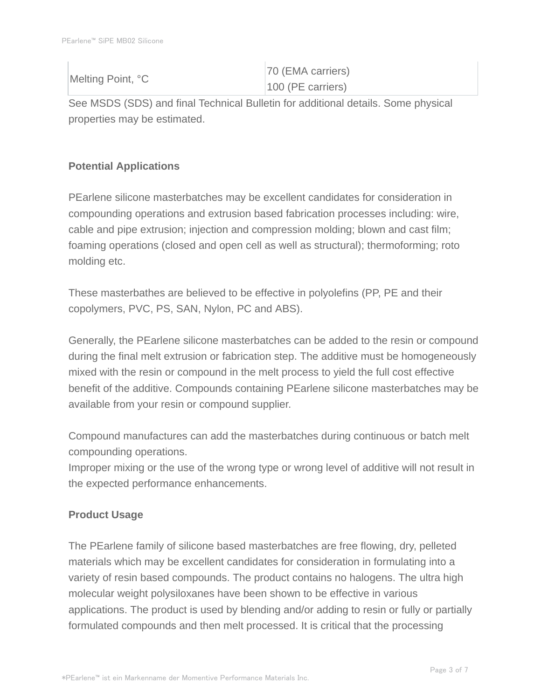|  | Melting Point, °C   | 70 (EMA carriers) |
|--|---------------------|-------------------|
|  | $100$ (PE carriers) |                   |

See MSDS (SDS) and final Technical Bulletin for additional details. Some physical properties may be estimated.

# **Potential Applications**

PEarlene silicone masterbatches may be excellent candidates for consideration in compounding operations and extrusion based fabrication processes including: wire, cable and pipe extrusion; injection and compression molding; blown and cast film; foaming operations (closed and open cell as well as structural); thermoforming; roto molding etc.

These masterbathes are believed to be effective in polyolefins (PP, PE and their copolymers, PVC, PS, SAN, Nylon, PC and ABS).

Generally, the PEarlene silicone masterbatches can be added to the resin or compound during the final melt extrusion or fabrication step. The additive must be homogeneously mixed with the resin or compound in the melt process to yield the full cost effective benefit of the additive. Compounds containing PEarlene silicone masterbatches may be available from your resin or compound supplier.

Compound manufactures can add the masterbatches during continuous or batch melt compounding operations.

Improper mixing or the use of the wrong type or wrong level of additive will not result in the expected performance enhancements.

# **Product Usage**

The PEarlene family of silicone based masterbatches are free flowing, dry, pelleted materials which may be excellent candidates for consideration in formulating into a variety of resin based compounds. The product contains no halogens. The ultra high molecular weight polysiloxanes have been shown to be effective in various applications. The product is used by blending and/or adding to resin or fully or partially formulated compounds and then melt processed. It is critical that the processing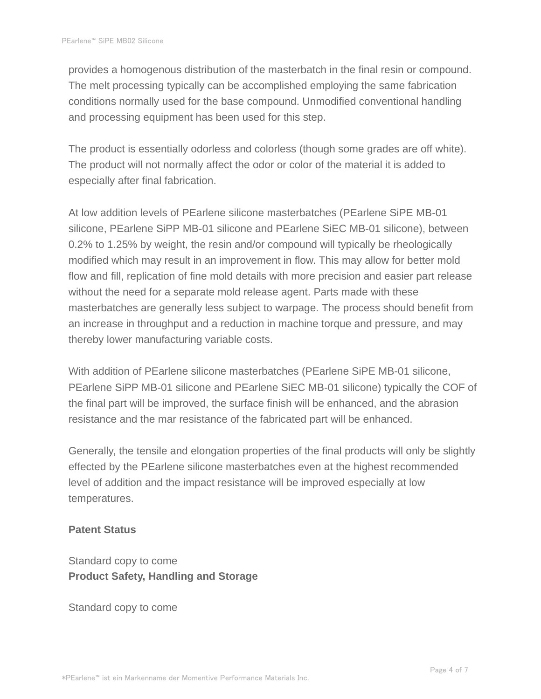provides a homogenous distribution of the masterbatch in the final resin or compound. The melt processing typically can be accomplished employing the same fabrication conditions normally used for the base compound. Unmodified conventional handling and processing equipment has been used for this step.

The product is essentially odorless and colorless (though some grades are off white). The product will not normally affect the odor or color of the material it is added to especially after final fabrication.

At low addition levels of PEarlene silicone masterbatches (PEarlene SiPE MB-01 silicone, PEarlene SiPP MB-01 silicone and PEarlene SiEC MB-01 silicone), between 0.2% to 1.25% by weight, the resin and/or compound will typically be rheologically modified which may result in an improvement in flow. This may allow for better mold flow and fill, replication of fine mold details with more precision and easier part release without the need for a separate mold release agent. Parts made with these masterbatches are generally less subject to warpage. The process should benefit from an increase in throughput and a reduction in machine torque and pressure, and may thereby lower manufacturing variable costs.

With addition of PEarlene silicone masterbatches (PEarlene SiPE MB-01 silicone, PEarlene SiPP MB-01 silicone and PEarlene SiEC MB-01 silicone) typically the COF of the final part will be improved, the surface finish will be enhanced, and the abrasion resistance and the mar resistance of the fabricated part will be enhanced.

Generally, the tensile and elongation properties of the final products will only be slightly effected by the PEarlene silicone masterbatches even at the highest recommended level of addition and the impact resistance will be improved especially at low temperatures.

#### **Patent Status**

Standard copy to come **Product Safety, Handling and Storage**

Standard copy to come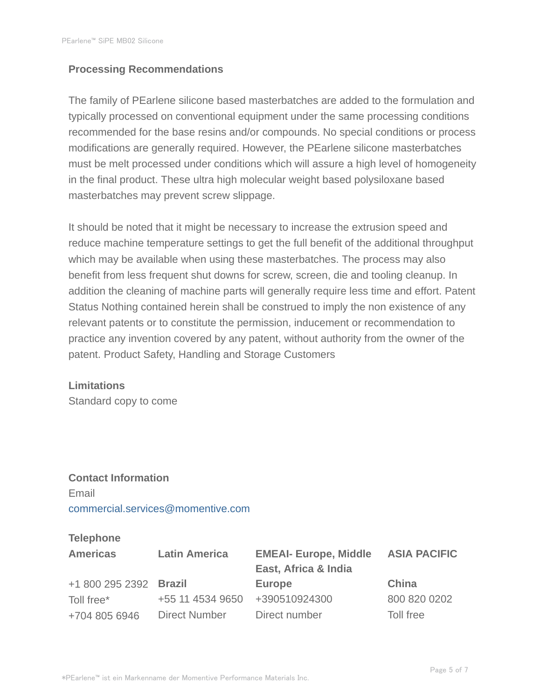#### **Processing Recommendations**

The family of PEarlene silicone based masterbatches are added to the formulation and typically processed on conventional equipment under the same processing conditions recommended for the base resins and/or compounds. No special conditions or process modifications are generally required. However, the PEarlene silicone masterbatches must be melt processed under conditions which will assure a high level of homogeneity in the final product. These ultra high molecular weight based polysiloxane based masterbatches may prevent screw slippage.

It should be noted that it might be necessary to increase the extrusion speed and reduce machine temperature settings to get the full benefit of the additional throughput which may be available when using these masterbatches. The process may also benefit from less frequent shut downs for screw, screen, die and tooling cleanup. In addition the cleaning of machine parts will generally require less time and effort. Patent Status Nothing contained herein shall be construed to imply the non existence of any relevant patents or to constitute the permission, inducement or recommendation to practice any invention covered by any patent, without authority from the owner of the patent. Product Safety, Handling and Storage Customers

#### **Limitations**

Standard copy to come

# **Contact Information** Email commercial.services@momentive.com

#### **Telephone**

| <b>Americas</b>        | <b>Latin America</b> | <b>EMEAI- Europe, Middle</b><br>East, Africa & India | <b>ASIA PACIFIC</b> |
|------------------------|----------------------|------------------------------------------------------|---------------------|
| +1 800 295 2392 Brazil |                      | <b>Europe</b>                                        | China               |
| Toll free*             | +55 11 4534 9650     | +390510924300                                        | 800 820 0202        |
| +704 805 6946          | <b>Direct Number</b> | Direct number                                        | Toll free           |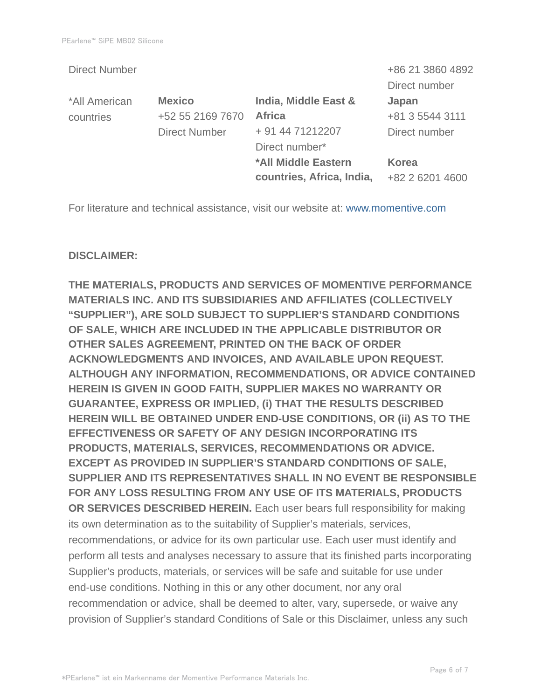| +86 21 3860 4892 |
|------------------|
| Direct number    |
| Japan            |
| +81 3 5544 3111  |
| Direct number    |
|                  |
| Korea            |
| +82 2 6201 4600  |
|                  |

For literature and technical assistance, visit our website at: www.momentive.com

#### **DISCLAIMER:**

**THE MATERIALS, PRODUCTS AND SERVICES OF MOMENTIVE PERFORMANCE MATERIALS INC. AND ITS SUBSIDIARIES AND AFFILIATES (COLLECTIVELY "SUPPLIER"), ARE SOLD SUBJECT TO SUPPLIER'S STANDARD CONDITIONS OF SALE, WHICH ARE INCLUDED IN THE APPLICABLE DISTRIBUTOR OR OTHER SALES AGREEMENT, PRINTED ON THE BACK OF ORDER ACKNOWLEDGMENTS AND INVOICES, AND AVAILABLE UPON REQUEST. ALTHOUGH ANY INFORMATION, RECOMMENDATIONS, OR ADVICE CONTAINED HEREIN IS GIVEN IN GOOD FAITH, SUPPLIER MAKES NO WARRANTY OR GUARANTEE, EXPRESS OR IMPLIED, (i) THAT THE RESULTS DESCRIBED HEREIN WILL BE OBTAINED UNDER END-USE CONDITIONS, OR (ii) AS TO THE EFFECTIVENESS OR SAFETY OF ANY DESIGN INCORPORATING ITS PRODUCTS, MATERIALS, SERVICES, RECOMMENDATIONS OR ADVICE. EXCEPT AS PROVIDED IN SUPPLIER'S STANDARD CONDITIONS OF SALE, SUPPLIER AND ITS REPRESENTATIVES SHALL IN NO EVENT BE RESPONSIBLE FOR ANY LOSS RESULTING FROM ANY USE OF ITS MATERIALS, PRODUCTS OR SERVICES DESCRIBED HEREIN.** Each user bears full responsibility for making its own determination as to the suitability of Supplier's materials, services, recommendations, or advice for its own particular use. Each user must identify and perform all tests and analyses necessary to assure that its finished parts incorporating Supplier's products, materials, or services will be safe and suitable for use under end-use conditions. Nothing in this or any other document, nor any oral recommendation or advice, shall be deemed to alter, vary, supersede, or waive any provision of Supplier's standard Conditions of Sale or this Disclaimer, unless any such